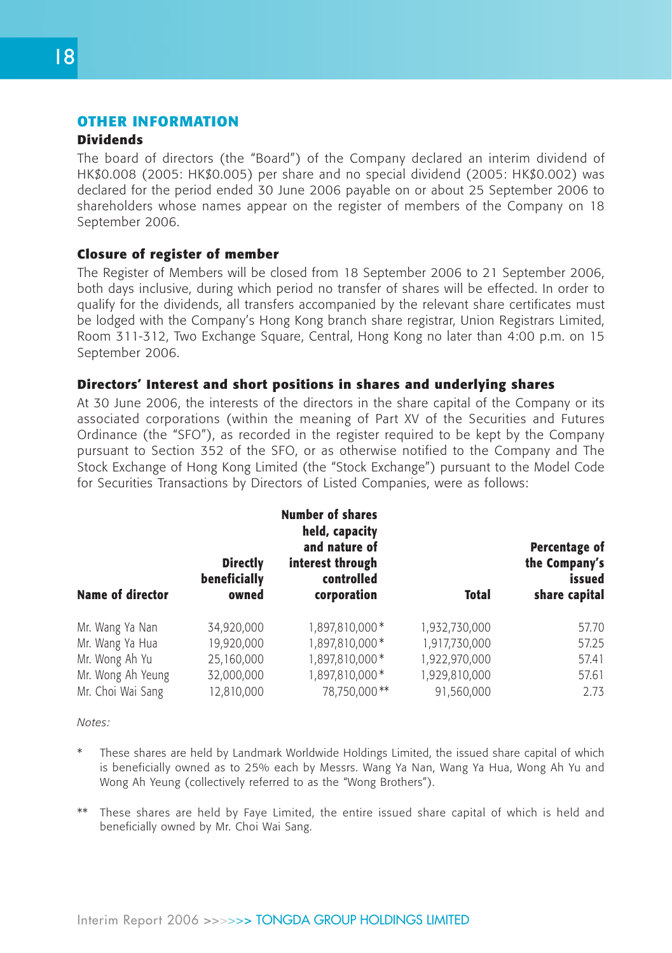## **OTHER INFORMATION**

#### **Dividends**

The board of directors (the "Board") of the Company declared an interim dividend of HK\$0.008 (2005: HK\$0.005) per share and no special dividend (2005: HK\$0.002) was declared for the period ended 30 June 2006 payable on or about 25 September 2006 to shareholders whose names appear on the register of members of the Company on 18 September 2006.

### **Closure of register of member**

The Register of Members will be closed from 18 September 2006 to 21 September 2006, both days inclusive, during which period no transfer of shares will be effected. In order to qualify for the dividends, all transfers accompanied by the relevant share certificates must be lodged with the Company's Hong Kong branch share registrar, Union Registrars Limited, Room 311-312, Two Exchange Square, Central, Hong Kong no later than 4:00 p.m. on 15 September 2006.

### **Directors' Interest and short positions in shares and underlying shares**

At 30 June 2006, the interests of the directors in the share capital of the Company or its associated corporations (within the meaning of Part XV of the Securities and Futures Ordinance (the "SFO"), as recorded in the register required to be kept by the Company pursuant to Section 352 of the SFO, or as otherwise notified to the Company and The Stock Exchange of Hong Kong Limited (the "Stock Exchange") pursuant to the Model Code for Securities Transactions by Directors of Listed Companies, were as follows:

| <b>Name of director</b> | <b>Directly</b><br>beneficially<br>owned | <b>Number of shares</b><br>held, capacity<br>and nature of<br>interest through<br>controlled<br>corporation | <b>Total</b>  | Percentage of<br>the Company's<br>issued<br>share capital |
|-------------------------|------------------------------------------|-------------------------------------------------------------------------------------------------------------|---------------|-----------------------------------------------------------|
| Mr. Wang Ya Nan         | 34,920,000                               | 1,897,810,000*                                                                                              | 1,932,730,000 | 57.70                                                     |
| Mr. Wang Ya Hua         | 19,920,000                               | 1,897,810,000*                                                                                              | 1,917,730,000 | 57.25                                                     |
| Mr. Wong Ah Yu          | 25,160,000                               | 1,897,810,000 *                                                                                             | 1,922,970,000 | 57.41                                                     |
| Mr. Wong Ah Yeung       | 32,000,000                               | 1,897,810,000*                                                                                              | 1,929,810,000 | 57.61                                                     |
| Mr. Choi Wai Sang       | 12,810,000                               | 78.750.000**                                                                                                | 91,560,000    | 2.73                                                      |

*Notes:*

- These shares are held by Landmark Worldwide Holdings Limited, the issued share capital of which is beneficially owned as to 25% each by Messrs. Wang Ya Nan, Wang Ya Hua, Wong Ah Yu and Wong Ah Yeung (collectively referred to as the "Wong Brothers").
- \*\* These shares are held by Faye Limited, the entire issued share capital of which is held and beneficially owned by Mr. Choi Wai Sang.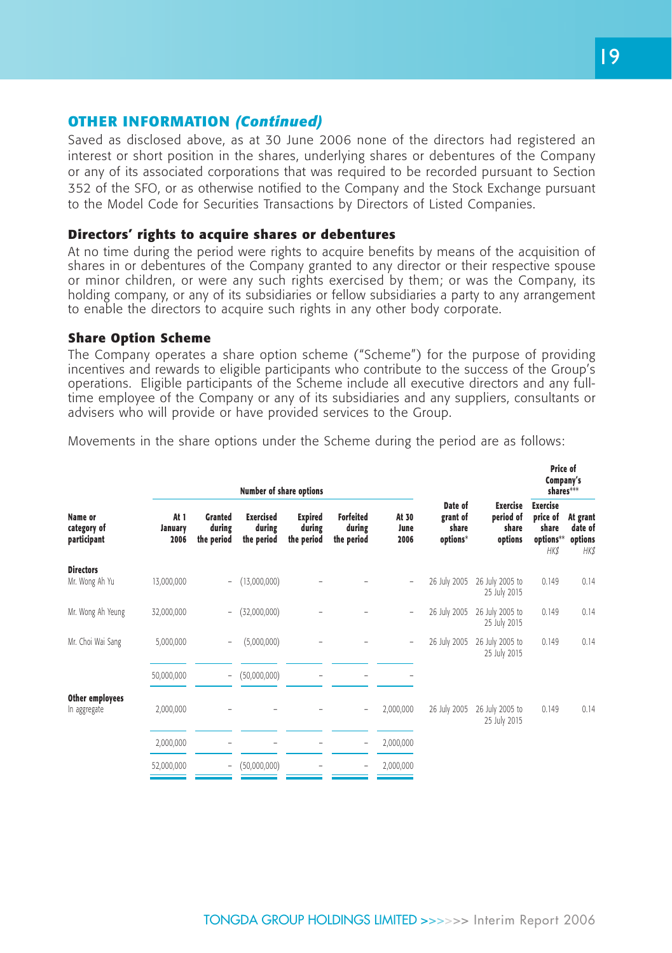Saved as disclosed above, as at 30 June 2006 none of the directors had registered an interest or short position in the shares, underlying shares or debentures of the Company or any of its associated corporations that was required to be recorded pursuant to Section 352 of the SFO, or as otherwise notified to the Company and the Stock Exchange pursuant to the Model Code for Securities Transactions by Directors of Listed Companies.

### **Directors' rights to acquire shares or debentures**

At no time during the period were rights to acquire benefits by means of the acquisition of shares in or debentures of the Company granted to any director or their respective spouse or minor children, or were any such rights exercised by them; or was the Company, its holding company, or any of its subsidiaries or fellow subsidiaries a party to any arrangement to enable the directors to acquire such rights in any other body corporate.

### **Share Option Scheme**

The Company operates a share option scheme ("Scheme") for the purpose of providing incentives and rewards to eligible participants who contribute to the success of the Group's operations. Eligible participants of the Scheme include all executive directors and any fulltime employee of the Company or any of its subsidiaries and any suppliers, consultants or advisers who will provide or have provided services to the Group.

| Movements in the share options under the Scheme during the period are as follows: |  |  |  |  |  |  |  |  |  |  |  |  |  |
|-----------------------------------------------------------------------------------|--|--|--|--|--|--|--|--|--|--|--|--|--|
|-----------------------------------------------------------------------------------|--|--|--|--|--|--|--|--|--|--|--|--|--|

|                                       |                         |                                        | Number of share options                  |                                        |                                          |                          |                                          |                                           | Price of<br>Company's<br>shares***                               |                                        |  |
|---------------------------------------|-------------------------|----------------------------------------|------------------------------------------|----------------------------------------|------------------------------------------|--------------------------|------------------------------------------|-------------------------------------------|------------------------------------------------------------------|----------------------------------------|--|
| Name or<br>category of<br>participant | At 1<br>January<br>2006 | <b>Granted</b><br>during<br>the period | <b>Exercised</b><br>during<br>the period | <b>Expired</b><br>during<br>the period | <b>Forfeited</b><br>during<br>the period | At 30<br>June<br>2006    | Date of<br>grant of<br>share<br>options* | Exercise<br>period of<br>share<br>options | <b>Exercise</b><br>price of<br>share<br>options**<br><b>HK\$</b> | At grant<br>date of<br>options<br>HK\$ |  |
| <b>Directors</b><br>Mr. Wong Ah Yu    | 13,000,000              | $\sim$                                 | (13,000,000)                             |                                        |                                          | $\overline{\phantom{0}}$ | 26 July 2005                             | 26 July 2005 to                           | 0.149                                                            | 0.14                                   |  |
|                                       |                         |                                        |                                          |                                        |                                          |                          |                                          | 25 July 2015                              |                                                                  |                                        |  |
| Mr. Wong Ah Yeung                     | 32,000,000              | $\sim$                                 | (32,000,000)                             |                                        |                                          | $\overline{\phantom{0}}$ | 26 July 2005                             | 26 July 2005 to<br>25 July 2015           | 0.149                                                            | 0.14                                   |  |
| Mr. Choi Wai Sang                     | 5,000,000               | $\overline{\phantom{a}}$               | (5,000,000)                              |                                        |                                          | $\overline{\phantom{0}}$ | 26 July 2005                             | 26 July 2005 to<br>25 July 2015           | 0.149                                                            | 0.14                                   |  |
|                                       | 50,000,000              | $\overline{\phantom{a}}$               | (50,000,000)                             |                                        |                                          |                          |                                          |                                           |                                                                  |                                        |  |
| Other employees<br>In aggregate       | 2,000,000               |                                        |                                          |                                        |                                          | 2,000,000                | 26 July 2005                             | 26 July 2005 to<br>25 July 2015           | 0.149                                                            | 0.14                                   |  |
|                                       | 2,000,000               |                                        |                                          |                                        | -                                        | 2,000,000                |                                          |                                           |                                                                  |                                        |  |
|                                       | 52,000,000              | $\overline{\phantom{a}}$               | (50,000,000)                             |                                        |                                          | 2,000,000                |                                          |                                           |                                                                  |                                        |  |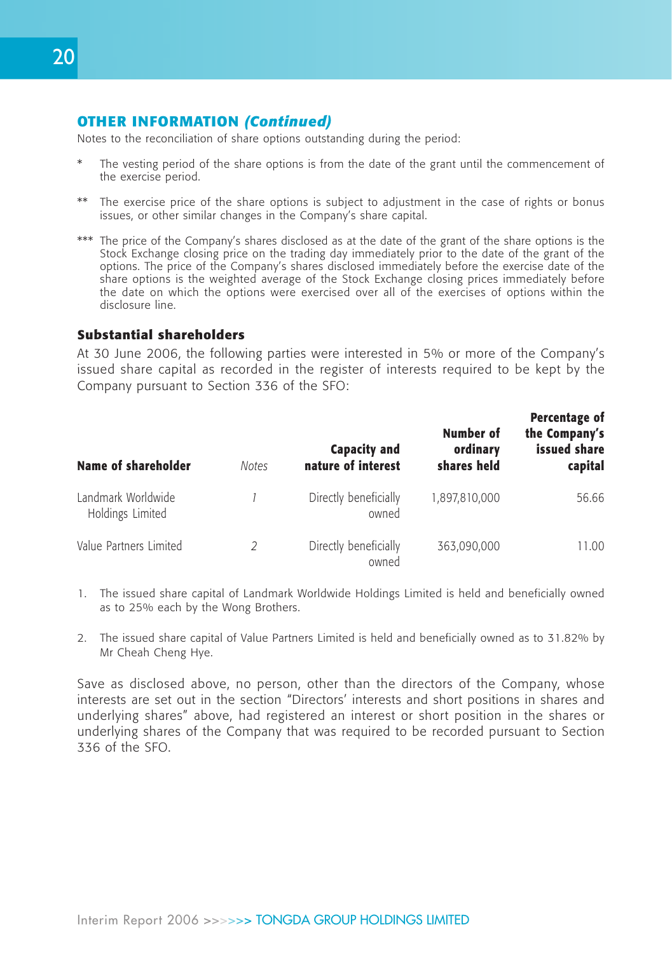Notes to the reconciliation of share options outstanding during the period:

- The vesting period of the share options is from the date of the grant until the commencement of the exercise period.
- \*\* The exercise price of the share options is subject to adjustment in the case of rights or bonus issues, or other similar changes in the Company's share capital.
- \*\*\* The price of the Company's shares disclosed as at the date of the grant of the share options is the Stock Exchange closing price on the trading day immediately prior to the date of the grant of the options. The price of the Company's shares disclosed immediately before the exercise date of the share options is the weighted average of the Stock Exchange closing prices immediately before the date on which the options were exercised over all of the exercises of options within the disclosure line.

## **Substantial shareholders**

At 30 June 2006, the following parties were interested in 5% or more of the Company's issued share capital as recorded in the register of interests required to be kept by the Company pursuant to Section 336 of the SFO:

| <b>Name of shareholder</b>             | <b>Notes</b> | <b>Capacity and</b><br>nature of interest | Number of<br>ordinary<br>shares held | Percentage of<br>the Company's<br>issued share<br>capital |
|----------------------------------------|--------------|-------------------------------------------|--------------------------------------|-----------------------------------------------------------|
| Landmark Worldwide<br>Holdings Limited |              | Directly beneficially<br>owned            | 1,897,810,000                        | 56.66                                                     |
| Value Partners Limited                 | 2            | Directly beneficially<br>owned            | 363,090,000                          | 11.00                                                     |

- 1. The issued share capital of Landmark Worldwide Holdings Limited is held and beneficially owned as to 25% each by the Wong Brothers.
- 2. The issued share capital of Value Partners Limited is held and beneficially owned as to 31.82% by Mr Cheah Cheng Hye.

Save as disclosed above, no person, other than the directors of the Company, whose interests are set out in the section "Directors' interests and short positions in shares and underlying shares" above, had registered an interest or short position in the shares or underlying shares of the Company that was required to be recorded pursuant to Section 336 of the SFO.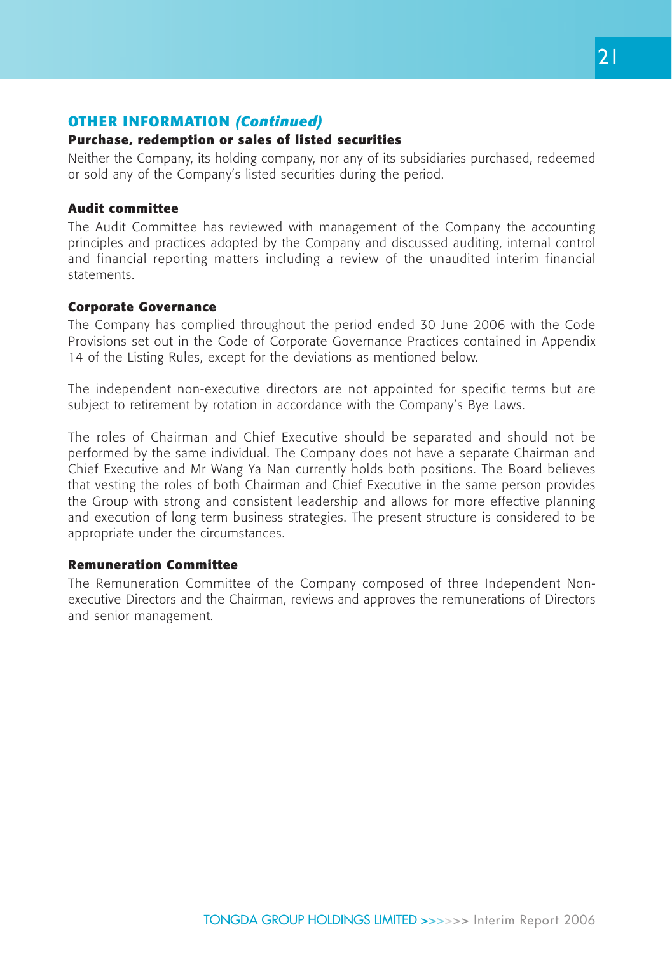## **Purchase, redemption or sales of listed securities**

Neither the Company, its holding company, nor any of its subsidiaries purchased, redeemed or sold any of the Company's listed securities during the period.

### **Audit committee**

The Audit Committee has reviewed with management of the Company the accounting principles and practices adopted by the Company and discussed auditing, internal control and financial reporting matters including a review of the unaudited interim financial statements.

### **Corporate Governance**

The Company has complied throughout the period ended 30 June 2006 with the Code Provisions set out in the Code of Corporate Governance Practices contained in Appendix 14 of the Listing Rules, except for the deviations as mentioned below.

The independent non-executive directors are not appointed for specific terms but are subject to retirement by rotation in accordance with the Company's Bye Laws.

The roles of Chairman and Chief Executive should be separated and should not be performed by the same individual. The Company does not have a separate Chairman and Chief Executive and Mr Wang Ya Nan currently holds both positions. The Board believes that vesting the roles of both Chairman and Chief Executive in the same person provides the Group with strong and consistent leadership and allows for more effective planning and execution of long term business strategies. The present structure is considered to be appropriate under the circumstances.

#### **Remuneration Committee**

The Remuneration Committee of the Company composed of three Independent Nonexecutive Directors and the Chairman, reviews and approves the remunerations of Directors and senior management.